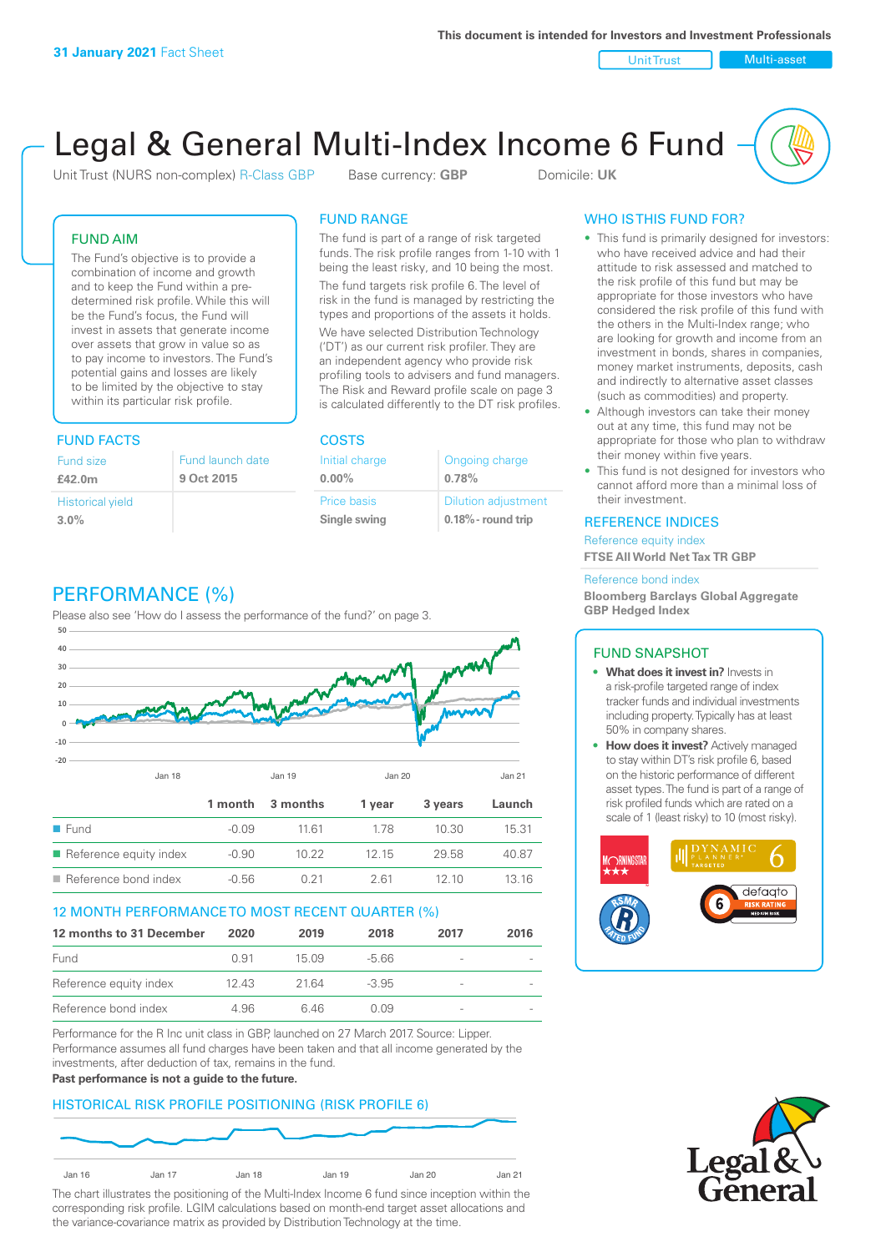Unit Trust Nulti-asset

# Legal & General Multi-Index Income 6 Fund

Unit Trust (NURS non-complex) R-Class GBP Base currency: **GBP** Domicile: UK

# FUND AIM

The Fund's objective is to provide a combination of income and growth and to keep the Fund within a predetermined risk profile. While this will be the Fund's focus, the Fund will invest in assets that generate income over assets that grow in value so as to pay income to investors. The Fund's potential gains and losses are likely to be limited by the objective to stay within its particular risk profile.

# FUND FACTS COSTS

| Fund size<br>£42.0m     | Fund launch date<br>9 Oct 2015 |
|-------------------------|--------------------------------|
| <b>Historical yield</b> |                                |
| 3.0%                    |                                |

# FUND RANGE

The fund is part of a range of risk targeted funds. The risk profile ranges from 1-10 with 1 being the least risky, and 10 being the most.

The fund targets risk profile 6. The level of risk in the fund is managed by restricting the types and proportions of the assets it holds. We have selected Distribution Technology ('DT') as our current risk profiler. They are an independent agency who provide risk profiling tools to advisers and fund managers. The Risk and Reward profile scale on page 3 is calculated differently to the DT risk profiles.

| Initial charge | Ongoing charge             |
|----------------|----------------------------|
| $0.00\%$       | 0.78%                      |
| Price basis    | <b>Dilution adjustment</b> |
| Single swing   | $0.18\%$ - round trip      |

# WHO IS THIS FUND FOR?

- This fund is primarily designed for investors: who have received advice and had their attitude to risk assessed and matched to the risk profile of this fund but may be appropriate for those investors who have considered the risk profile of this fund with the others in the Multi-Index range; who are looking for growth and income from an investment in bonds, shares in companies, money market instruments, deposits, cash and indirectly to alternative asset classes (such as commodities) and property.
- Although investors can take their money out at any time, this fund may not be appropriate for those who plan to withdraw their money within five years.
- This fund is not designed for investors who cannot afford more than a minimal loss of their investment.

# REFERENCE INDICES

Reference equity index **FTSE All World Net Tax TR GBP**

#### Reference bond index

**Bloomberg Barclays Global Aggregate GBP Hedged Index**

# FUND SNAPSHOT

- **• What does it invest in?** Invests in a risk-profile targeted range of index tracker funds and individual investments including property. Typically has at least 50% in company shares.
- **• How does it invest?** Actively managed to stay within DT's risk profile 6, based on the historic performance of different asset types. The fund is part of a range of risk profiled funds which are rated on a scale of 1 (least risky) to 10 (most risky).





# PERFORMANCE (%)

Please also see 'How do I assess the performance of the fund?' on page 3.



# 12 MONTH PERFORMANCE TO MOST RECENT QUARTER (%)

| 12 months to 31 December | 2020  | 2019  | 2018    | 2017   | 2016 |
|--------------------------|-------|-------|---------|--------|------|
| Fund                     | O 91  | 15 09 | -5.66   |        |      |
| Reference equity index   | 12.43 | 21.64 | $-3.95$ |        |      |
| Reference bond index     | 4.96  | 6.46  | N N9    | $\sim$ |      |

Performance for the R Inc unit class in GBP, launched on 27 March 2017. Source: Lipper. Performance assumes all fund charges have been taken and that all income generated by the investments, after deduction of tax, remains in the fund.

#### **Past performance is not a guide to the future.**

# HISTORICAL RISK PROFILE POSITIONING (RISK PROFILE 6)



The chart illustrates the positioning of the Multi-Index Income 6 fund since inception within the corresponding risk profile. LGIM calculations based on month-end target asset allocations and the variance-covariance matrix as provided by Distribution Technology at the time.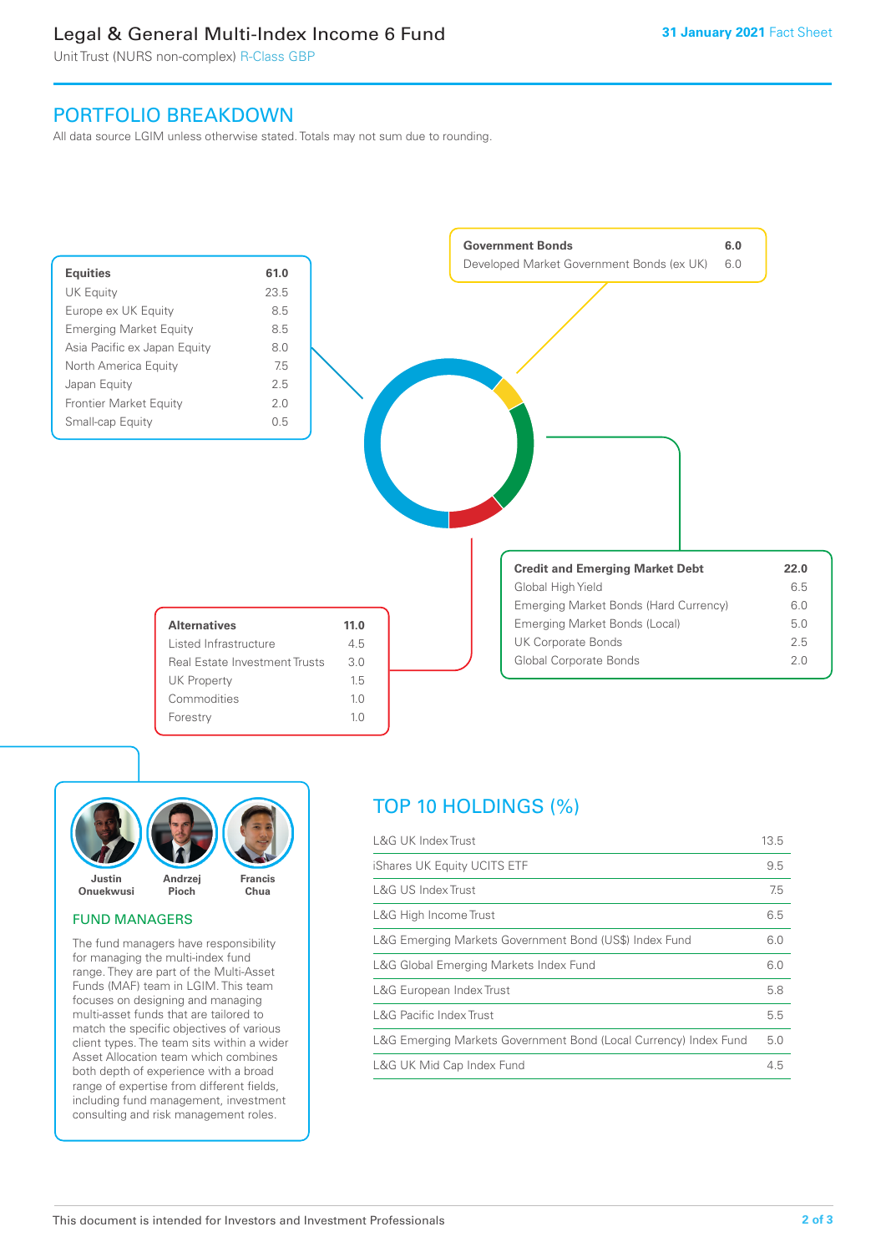# Legal & General Multi-Index Income 6 Fund

Unit Trust (NURS non-complex) R-Class GBP

# PORTFOLIO BREAKDOWN

All data source LGIM unless otherwise stated. Totals may not sum due to rounding.





# FUND MANAGERS

The fund managers have responsibility for managing the multi-index fund range. They are part of the Multi-Asset Funds (MAF) team in LGIM. This team focuses on designing and managing multi-asset funds that are tailored to match the specific objectives of various client types. The team sits within a wider Asset Allocation team which combines both depth of experience with a broad range of expertise from different fields, including fund management, investment consulting and risk management roles.

# TOP 10 HOLDINGS (%)

| L&G UK Index Trust                                               | 13.5 |
|------------------------------------------------------------------|------|
| iShares UK Equity UCITS ETF                                      | 9.5  |
| <b>L&amp;G US Index Trust</b>                                    | 7.5  |
| L&G High Income Trust                                            | 6.5  |
| L&G Emerging Markets Government Bond (US\$) Index Fund           | 6.0  |
| L&G Global Emerging Markets Index Fund                           | 6.0  |
| L&G European Index Trust                                         | 5.8  |
| <b>L&amp;G Pacific Index Trust</b>                               | 5.5  |
| L&G Emerging Markets Government Bond (Local Currency) Index Fund | 5.0  |
| L&G UK Mid Cap Index Fund                                        | 4.5  |